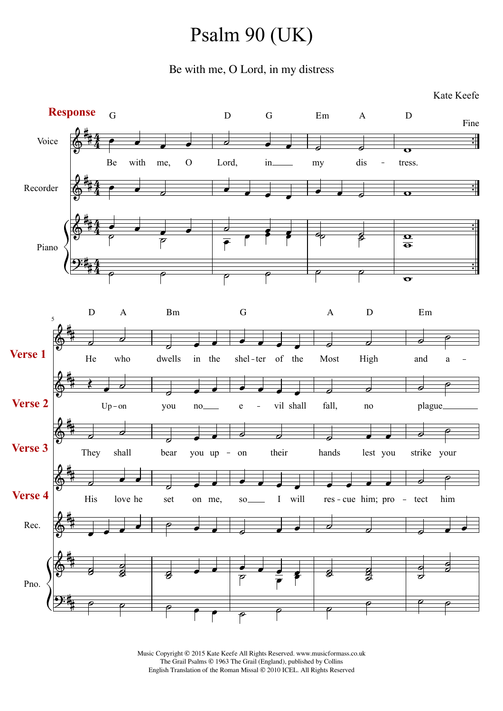## Psalm 90 (UK)

Be with me, O Lord, in my distress



Music Copyright © 2015 Kate Keefe All Rights Reserved. www.musicformass.co.uk The Grail Psalms © 1963 The Grail (England), published by Collins English Translation of the Roman Missal © 2010 ICEL. All Rights Reserved